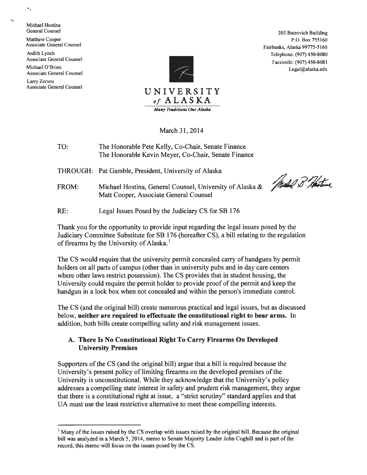..... Michael Hostina

Matthew Cooper Associate General Counsel

Ardith Lynch Associate General Counsel Michael O'Brien

Associate General Counsel Larry Zervos Associate General Counsel



General Counsel 203 Butrovich Building P.O. Box 755160 Fairbanks, Alaska 99775-5160 Telephone: (907) 450-8080 Facsimile: (907) 450-8081 Legal@alaska.edu

March 31, 2014

TO: The Honorable Pete Kelly, Co-Chair, Senate Finance The Honorable Kevin Meyer, Co-Chair, Senate Finance

THROUGH: Pat Gamble, President, University of Alaska

FROM: Michael Hostina, General Counsel, University of Alaska & Matt Cooper, Associate General Counsel

Waled B. Hostine

RE: Legal Issues Posed by the Judiciary CS for SB 176

Thank you for the opportunity to provide input regarding the legal issues posed by the Judiciary Committee Substitute for SB 176 (hereafter CS), a bill relating to the regulation of firearms by the University of Alaska.<sup>1</sup>

The CS would require that the university permit concealed carry of handguns by permit holders on all parts of campus (other than in university pubs and in day care centers where other laws restrict possession). The CS provides that in student housing, the University could require the permit holder to provide proof of the permit and keep the handgun in a lock box when not concealed and within the person's immediate control.

The CS (and the original bill) create numerous practical and legal issues, but as discussed below, **neither are required to effectuate the constitutional right to bear arms.** In addition, both bills create compelling safety and risk management issues.

# **A. There** Is No **Constitutional Right To Carry Firearms On Developed University Premises**

Supporters of the CS (and the original bill) argue that a bill is required because the University's present policy of limiting firearms on the developed premises of the University is unconstitutional. While they acknowledge that the University's policy addresses a compelling state interest in safety and prudent risk management, they argue that there is a constitutional right at issue, a "strict scrutiny" standard applies and that UA must use the least restrictive alternative to meet these compelling interests.

 $\bullet$  .

 $<sup>1</sup>$  Many of the issues raised by the CS overlap with issues raised by the original bill. Because the original</sup> bill was analyzed in a March 5, 2014, memo to Senate Majority Leader John Coghill and is part of the record, this memo will focus on the issues posed by the CS.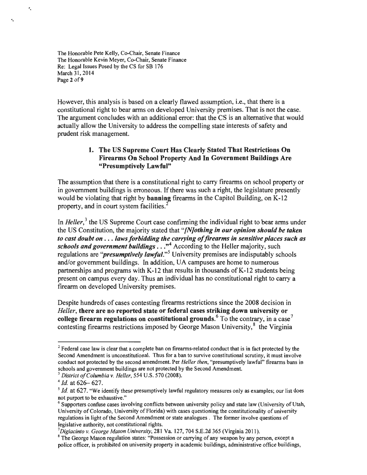The Honorable Pete Kelly, Co-Chair, Senate Finance The Honorable Kevin Meyer, Co-Chair, Senate Finance Re: Legal Issues Posed by the CS for SB 176 March 31, 2014 Page 2 of 9

'·

....

However, this analysis is based on a clearly flawed assumption, i.e., that there is a constitutional right to bear arms on developed University premises. That is not the case. The argument concludes with an additional error: that the CS is an alternative that would actually allow the University to address the compelling state interests of safety and prudent risk management.

## 1. The US Supreme Court Has Clearly Stated That Restrictions On Firearms On School Property And In Government Buildings Are "Presumptively Lawful"

The assumption that there is a constitutional right to carry firearms on school property or in government buildings is erroneous. If there was such a right, the legislature presently would be violating that right by banning firearms in the Capitol Building, on K-12 property, and in court system facilities.<sup>2</sup>

In *Heller*,<sup>3</sup> the US Supreme Court case confirming the individual right to bear arms under the US Constitution, the majority stated that *"[N]othing in our opinion should be taken to cast doubt on* ... *laws forbidding the carrying of firearms in sensitive places such as*  schools and government buildings . . . <sup>4</sup> According to the Heller majority, such regulations are "*presumptively lawful*."<sup>5</sup> University premises are indisputably schools and/or government buildings. In addition, UA campuses are home to numerous partnerships and programs with K-12 that results in thousands of K-12 students being present on campus every day. Thus an individual has no constitutional right to carry a firearm on developed University premises.

Despite hundreds of cases contesting firearms restrictions since the 2008 decision in *Heller,* there are no reported state or federal cases striking down university or college firearm regulations on constitutional grounds.<sup>6</sup> To the contrary, in a case<sup>7</sup> contesting firearms restrictions imposed by George Mason University,<sup>8</sup> the Virginia

<sup>&</sup>lt;sup>2</sup> Federal case law is clear that a complete ban on firearms-related conduct that is in fact protected by the Second Amendment is unconstitutional. Thus for a ban to survive constitutional scrutiny, it must involve conduct not protected by the second amendment. Per *Heller then,* "presumptively lawful" firearms bans in schools and government buildings are not protected by the Second Amendment.<br><sup>3</sup> *District of Columbia v. Heller*, 554 U.S. 570 (2008).<br><sup>4</sup> *Id.* at 626– 627.

<sup>&</sup>lt;sup>5</sup> *Id.* at 627. "We identify these presumptively lawful regulatory measures only as examples; our list does not purport to be exhaustive."<br><sup>6</sup> Supporters confuse cases involving conflicts between university policy and state law (University of Utah,

University of Colorado, University of Florida) with cases questioning the constitutionality of university regulations in light of the Second Amendment or state analogues . The former involve questions of legislative authority, not constitutional rights.

<sup>&</sup>lt;sup>7</sup>Digiacinto v. George Mason University, 281 Va. 127, 704 S.E.2d 365 (Virginia 2011).

<sup>&</sup>lt;sup>8</sup> The George Mason regulation states: "Possession or carrying of any weapon by any person, except a police officer, is prohibited on university property in academic buildings, administrative office buildings,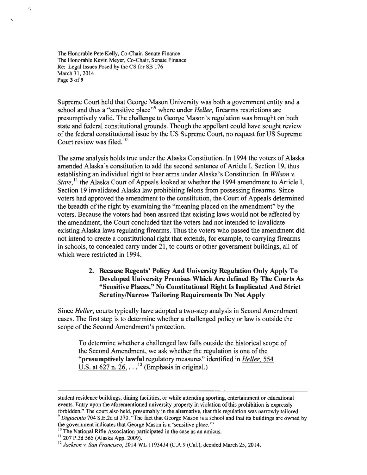The Honorable Pete Kelly, Co-Chair, Senate Finance The Honorable Kevin Meyer, Co-Chair, Senate Finance Re: Legal Issues Posed by the CS for SB 176 March 31, 2014 Page 3 of 9

·.

.

Supreme Court held that George Mason University was both a government entity and a school and thus a "sensitive place"<sup>9</sup> where under *Heller*, firearms restrictions are presumptively valid. The challenge to George Mason's regulation was brought on both state and federal constitutional grounds. Though the appellant could have sought review of the federal constitutional issue by the US Supreme Court, no request for US Supreme Court review was filed. $^{10}$ 

The same analysis holds true under the Alaska Constitution. In 1994 the voters of Alaska amended Alaska's constitution to add the second sentence of Article I, Section 19, thus establishing an individual right to bear arms under Alaska's Constitution. In *Wilson v. State*,<sup>11</sup> the Alaska Court of Appeals looked at whether the 1994 amendment to Article I, Section 19 invalidated Alaska law prohibiting felons from possessing firearms. Since voters had approved the amendment to the constitution, the Court of Appeals determined the breadth of the right by examining the "meaning placed on the amendment" by the voters. Because the voters had been assured that existing laws would not be affected by the amendment, the Court concluded that the voters had not intended to invalidate existing Alaska laws regulating firearms. Thus the voters who passed the amendment did not intend to create a constitutional right that extends, for example, to carrying firearms in schools, to concealed carry under 21, to courts or other government buildings, all of which were restricted in 1994.

#### 2. Because Regents' Policy And University Regulation Only Apply To Developed University Premises Which Are defined By The Courts As "Sensitive Places," No Constitutional Right Is Implicated And Strict Scrutiny/Narrow Tailoring Requirements Do Not Apply

Since *Heller,* courts typically have adopted a two-step analysis in Second Amendment cases. The first step is to determine whether a challenged policy or law is outside the scope of the Second Amendment's protection.

To determine whether a challenged law falls outside the historical scope of the Second Amendment, we ask whether the regulation is one of the "presumptively lawful regulatory measures" identified in *Heller.* 554 U.S. at  $627$  n.  $26$ ,  $\ldots$ <sup>12</sup> (Emphasis in original.)

student residence buildings, dining facilities, or while attending sporting, entertainment or educational events. Entry upon the aforementioned university property in violation of this prohibition is expressly forbidden." The court also held, presumably in the alternative, that this regulation was narrowly tailored. 9 *Digiacinto* 704 S.E.2d at 370. "The fact that George Mason is a school and that its buildings are owned by

the government indicates that George Mason is a 'sensitive place."'

<sup>&</sup>lt;sup>10</sup> The National Rifle Association participated in the case as an amicus.<br><sup>11</sup> 207 P.3d 565 (Alaska App. 2009).

<sup>&</sup>lt;sup>12</sup> Jackson v. San Francisco, 2014 WL 1193434 (C.A.9 (Cal.), decided March 25, 2014.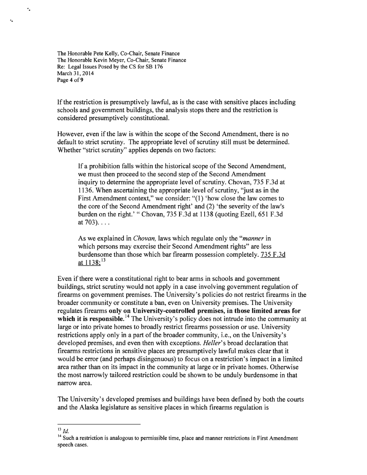The Honorable Pete Kelly, Co-Chair, Senate Finance The Honorable Kevin Meyer, Co-Chair, Senate Finance Re: Legal Issues Posed by the CS for SB 176 March 31, 2014 Page **4** of9

·.

""

If the restriction is presumptively lawful, as is the case with sensitive places including schools and government buildings, the analysis stops there and the restriction is considered presumptively constitutional.

However, even if the law is within the scope of the Second Amendment, there is no default to strict scrutiny. The appropriate level of scrutiny still must be determined. Whether "strict scrutiny" applies depends on two factors:

If a prohibition falls within the historical scope of the Second Amendment, we must then proceed to the second step of the Second Amendment inquiry to determine the appropriate level of scrutiny. Chovan, 735 F.3d at 1136. When ascertaining the appropriate level of scrutiny, "just as in the First Amendment context," we consider: "(l) 'how close the law comes to the core of the Second Amendment right' and (2) 'the severity of the law's burden on the right.'" Chovan, 735 F.3d at 1138 (quoting Ezell, 651 F.3d at  $703$ )....

As we explained in *Chovan,* laws which regulate only the *"manner* in which persons may exercise their Second Amendment rights" are less burdensome than those which bar firearm possession completely. 735 F.3d at  $1138:^{13}$ 

Even if there were a constitutional right to bear arms in schools and government buildings, strict scrutiny would not apply in a case involving government regulation of firearms on government premises. The University's policies do not restrict firearms in the broader community or constitute a ban, even on University premises. The University regulates firearms **only on University-controlled premises, in those limited areas for**  which it is responsible.<sup>14</sup> The University's policy does not intrude into the community at large or into private homes to broadly restrict firearms possession or use. University restrictions apply only in a part of the broader community, i.e., on the University's developed premises, and even then with exceptions. *Heller's* broad declaration that firearms restrictions in sensitive places are presumptively lawful makes clear that it would be error (and perhaps disingenuous) to focus on a restriction's impact in a limited area rather than on its impact in the community at large or in private homes. Otherwise the most narrowly tailored restriction could be shown to be unduly burdensome in that narrow area.

The University's developed premises and buildings have been defined by both the courts and the Alaska legislature as sensitive places in which firearms regulation is

 $^{13}$  *Id.* 

<sup>&</sup>lt;sup>14</sup> Such a restriction is analogous to permissible time, place and manner restrictions in First Amendment speech cases.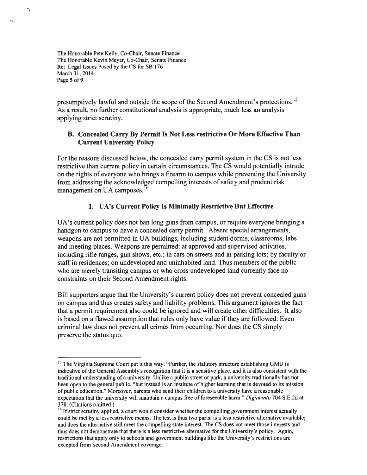The Honorable Pete Kelly, Co-Chair, Senate Finance The Honorable Kevin Meyer, Co-Chair, Senate Finance Re: Legal Issues Posed by the CS for SB 176 March 31, 2014 Page 5 of 9

·.

presumptively lawful and outside the scope of the Second Amendment's protections.<sup>15</sup> As a result, no further constitutional analysis is appropriate, much less an analysis applying strict scrutiny.

### B. Concealed Carry By Permit Is Not Less restrictive Or More Effective Than Current University Policy

For the reasons discussed below, the concealed carry permit system in the CS is not less restrictive than current policy in certain circumstances. The CS would potentially intrude on the rights of everyone who brings a firearm to campus while preventing the University from addressing the acknowledged compelling interests of safety and prudent risk management on UA campuses.<sup>1</sup> 6

## 1. UA's Current Policy Is Minimally Restrictive But Effective

UA's current policy does not ban long guns from campus, or require everyone bringing a handgun to campus to have a concealed carry permit. Absent special arrangements, weapons are not permitted in UA buildings, including student dorms, classrooms, labs and meeting places. Weapons are permitted: at approved and supervised activities, including rifle ranges, gun shows, etc.; in cars on streets and in parking lots; by faculty or staff in residences; on undeveloped and uninhabited land. Thus members of the public who are merely transiting campus or who cross undeveloped land currently face no constraints on their Second Amendment rights.

Bill supporters argue that the University's current policy does not prevent concealed guns on campus and thus creates safety and liability problems. This argument ignores the fact that a permit requirement also could be ignored and will create other difficulties. It also is based on a flawed assumption that rules only have value if they are followed. Even criminal law does not prevent all crimes from occurring. Nor does the CS simply preserve the status quo.

<sup>&</sup>lt;sup>15</sup> The Virginia Supreme Court put it this way: "Further, the statutory structure establishing GMU is indicative of the General Assembly's recognition that it is a sensitive place, and it is also consistent with the traditional understanding of a university. Unlike a public street or park, a university traditionally has not been open to the general public, "but instead is an institute of higher learning that is devoted to its mission of public education." Moreover, parents who send their children to a university have a reasonable expectation that the university will maintain a campus free of foreseeable harm." *Digiacinto* 704 S.E.2d at 370. (Citations omitted.)

 $16$  If strict scrutiny applied, a court would consider whether the compelling government interest actually could be met by a less restrictive means. The test is thus two parts: is a less restrictive alternative available; and does the alternative still meet the compelling state interest. The CS does not meet those interests and thus does not demonstrate that there is a less restrictive alternative for the University's policy. Again, restrictions that apply only to schools and government buildings like the University's restrictions are excepted from Second Amendment coverage.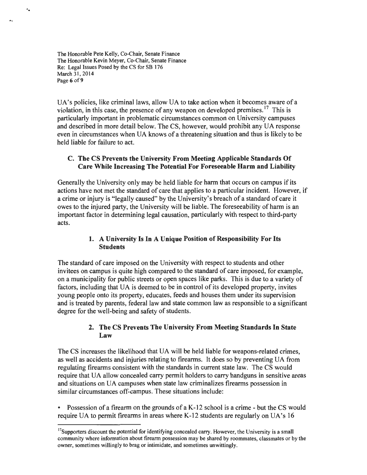The Honorable Pete Kelly, Co-Chair, Senate Finance The Honorable Kevin Meyer, Co-Chair, Senate Finance Re: Legal Issues Posed by the CS for SB 176 March 31, 2014 Page 6 of 9

..

UA's policies, like criminal laws, allow UA to take action when it becomes aware of a violation, in this case, the presence of any weapon on developed premises.<sup>17</sup> This is particularly important in problematic circumstances common on University campuses and described in more detail below. The CS, however, would prohibit any UA response even in circumstances when UA knows of a threatening situation and thus is likely to be held liable for failure to act.

### C. The CS Prevents the University From Meeting Applicable Standards Of Care While Increasing The Potential For Foreseeable Harm and Liability

Generally the University only may be held liable for harm that occurs on campus if its actions have not met the standard of care that applies to a particular incident. However, if a crime or injury is "legally caused" by the University's breach of a standard of care it owes to the injured party, the University will be liable. The foreseeability of harm is an important factor in determining legal causation, particularly with respect to third-party acts.

## 1. A University Is In A Unique Position of Responsibility For Its **Students**

The standard of care imposed on the University with respect to students and other invitees on campus is quite high compared to the standard of care imposed, for example, on a municipality for public streets or open spaces like parks. This is due to a variety of factors, including that UA is deemed to be in control of its developed property, invites young people onto its property, educates, feeds and houses them under its supervision and is treated by parents, federal law and state common law as responsible to a significant degree for the well-being and safety of students.

# 2. The CS Prevents The University From Meeting Standards In State Law

The CS increases the likelihood that UA will be held liable for weapons-related crimes, as well as accidents and injuries relating to firearms. It does so by preventing UA from regulating firearms consistent with the standards in current state law. The CS would require that UA allow concealed carry permit holders to carry handguns in sensitive areas and situations on UA campuses when state law criminalizes firearms possession in similar circumstances off-campus. These situations include:

• Possession of a firearm on the grounds of a K-12 school is a crime - but the CS would require UA to permit firearms in areas where K-12 students are regularly on UA's 16

<sup>&</sup>lt;sup>17</sup>Supporters discount the potential for identifying concealed carry. However, the University is a small community where information about firearm possession may be shared by roommates, classmates or by the owner, sometimes willingly to brag or intimidate, and sometimes unwittingly.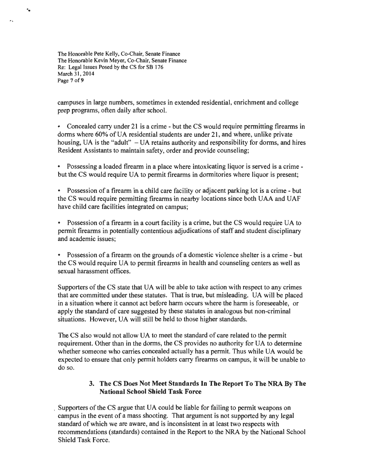The Honorable Pete Kelly, Co-Chair, Senate Finance The Honorable Kevin Meyer, Co-Chair, Senate Finance Re: Legal Issues Posed by the CS for SB 176 March 31, 2014 Page 7 of 9

...

campuses in large numbers, sometimes in extended residential, enrichment and college prep programs, often daily after school.

• Concealed carry under 21 is a crime - but the CS would require permitting firearms in dorms where 60% of UA residential students are under 21, and where, unlike private housing, UA is the "adult" - UA retains authority and responsibility for dorms, and hires Resident Assistants to maintain safety, order and provide counseling;

• Possessing a loaded firearm in a place where intoxicating liquor is served is a crime but the CS would require UA to permit firearms in dormitories where liquor is present;

• Possession of a firearm in a child care facility or adjacent parking lot is a crime - but the CS would require permitting firearms in nearby locations since both UAA and UAF have child care facilities integrated on campus;

• Possession of a firearm in a court facility is a crime, but the CS would require UA to permit firearms in potentially contentious adjudications of staff and student disciplinary and academic issues;

• Possession of a firearm on the grounds of a domestic violence shelter is a crime - but the CS would require UA to permit firearms in health and counseling centers as well as sexual harassment offices.

Supporters of the CS state that UA will be able to take action with respect to any crimes that are committed under these statutes. That is true, but misleading. UA will be placed in a situation where it cannot act before harm occurs where the harm is foreseeable, or apply the standard of care suggested by these statutes in analogous but non-criminal situations. However, UA will still be held to those higher standards.

The CS also would not allow UA to meet the standard of care related to the permit requirement. Other than in the dorms, the CS provides no authority for UA to determine whether someone who carries concealed actually has a permit. Thus while UA would be expected to ensure that only permit holders carry firearms on campus, it will be unable to do so.

#### 3. The CS Does Not Meet Standards In The Report To The NRA By The National School Shield Task Force

• Supporters of the CS argue that UA could be liable for failing to permit weapons on campus in the event of a mass shooting. That argument is not supported by any legal standard of which we are aware, and is inconsistent in at least two respects with recommendations (standards) contained in the Report to the NRA by the National School Shield Task Force.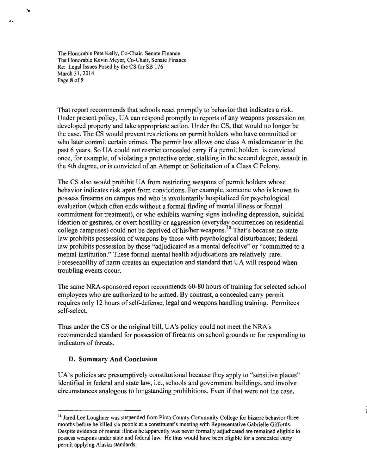The Honorable Pete Kelly, Co-Chair, Senate Finance The Honorable Kevin Meyer, Co-Chair, Senate Finance Re: Legal Issues Posed by the CS for SB 176 March 31, 2014 Page 8 of 9

...

..

That report recommends that schools react promptly to behavior that indicates a risk. Under present policy, UA can respond promptly to reports of any weapons possession on developed property and take appropriate action. Under the CS, that would no longer be the case. The CS would prevent restrictions on permit holders who have committed or who later commit certain crimes. The permit law allows one class A misdemeanor in the past 6 years. So UA could not restrict concealed carry if a permit holder: is convicted once, for example, of violating a protective order, stalking in the second degree, assault in the 4th degree, or is convicted of an Attempt or Solicitation of a Class C Felony.

The CS also would prohibit UA from restricting weapons of permit holders whose behavior indicates risk apart from convictions. For example, someone who is known to possess firearms on campus and who is involuntarily hospitalized for psychological evaluation (which often ends without a formal finding of mental illness or formal commitment for treatment), or who exhibits warning signs including depression, suicidal ideation or gestures, or overt hostility or aggression (everyday occurrences on residential college campuses) could not be deprived of his/her weapons. 18 That's because no state law prohibits possession of weapons by those with psychological disturbances; federal law prohibits possession by those "adjudicated as a mental defective" or "committed to a mental institution." These formal mental health adjudications are relatively rare. Foreseeability of harm creates an expectation and standard that UA will respond when troubling events occur.

The same NRA-sponsored report recommends 60-80 hours of training for selected school employees who are authorized to be armed. By contrast, a concealed carry permit requires only 12 hours of self-defense, legal and weapons handling training. Permitees self-select.

Thus under the CS or the original bill, UA's policy could not meet the NRA's recommended standard for possession of firearms on school grounds or for responding to indicators of threats.

#### **D. Summary And Conclusion**

UA's policies are presumptively constitutional because they apply to "sensitive places" identified in federal and state law, i.e., schools and government buildings, and involve circumstances analogous to longstanding prohibitions. Even if that were not the case,

<sup>&</sup>lt;sup>18</sup> Jared Lee Loughner was suspended from Pima County Community College for bizarre behavior three months before he killed six people at a constituent's meeting with Representative Gabrielle Giffords. Despite evidence of mental illness he apparently was never formally adjudicated are remained eligible to possess weapons under state and federal law. He thus would have been eligible for a concealed carry permit applying Alaska standards.